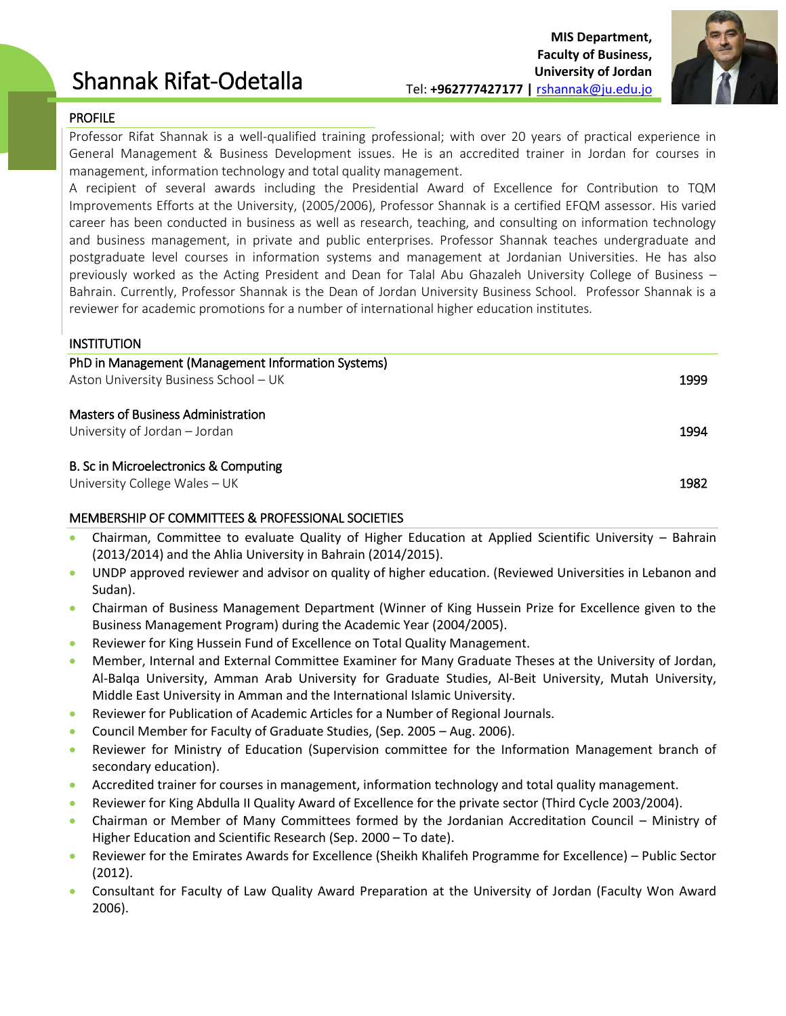# Shannak Rifat-Odetalla



### PROFILE

Professor Rifat Shannak is a well-qualified training professional; with over 20 years of practical experience in General Management & Business Development issues. He is an accredited trainer in Jordan for courses in management, information technology and total quality management.

A recipient of several awards including the Presidential Award of Excellence for Contribution to TQM Improvements Efforts at the University, (2005/2006), Professor Shannak is a certified EFQM assessor. His varied career has been conducted in business as well as research, teaching, and consulting on information technology and business management, in private and public enterprises. Professor Shannak teaches undergraduate and postgraduate level courses in information systems and management at Jordanian Universities. He has also previously worked as the Acting President and Dean for Talal Abu Ghazaleh University College of Business – Bahrain. Currently, Professor Shannak is the Dean of Jordan University Business School. Professor Shannak is a reviewer for academic promotions for a number of international higher education institutes.

#### INSTITUTION

| PhD in Management (Management Information Systems)<br>Aston University Business School - UK | 1999 |
|---------------------------------------------------------------------------------------------|------|
| <b>Masters of Business Administration</b><br>University of Jordan - Jordan                  | 1994 |
| B. Sc in Microelectronics & Computing<br>University College Wales - UK                      | 1982 |

# MEMBERSHIP OF COMMITTEES & PROFESSIONAL SOCIETIES

- Chairman, Committee to evaluate Quality of Higher Education at Applied Scientific University Bahrain (2013/2014) and the Ahlia University in Bahrain (2014/2015).
- UNDP approved reviewer and advisor on quality of higher education. (Reviewed Universities in Lebanon and Sudan).
- Chairman of Business Management Department (Winner of King Hussein Prize for Excellence given to the Business Management Program) during the Academic Year (2004/2005).
- Reviewer for King Hussein Fund of Excellence on Total Quality Management.
- Member, Internal and External Committee Examiner for Many Graduate Theses at the University of Jordan, Al-Balqa University, Amman Arab University for Graduate Studies, Al-Beit University, Mutah University, Middle East University in Amman and the International Islamic University.
- Reviewer for Publication of Academic Articles for a Number of Regional Journals.
- Council Member for Faculty of Graduate Studies, (Sep. 2005 Aug. 2006).
- Reviewer for Ministry of Education (Supervision committee for the Information Management branch of secondary education).
- Accredited trainer for courses in management, information technology and total quality management.
- Reviewer for King Abdulla II Quality Award of Excellence for the private sector (Third Cycle 2003/2004).
- Chairman or Member of Many Committees formed by the Jordanian Accreditation Council Ministry of Higher Education and Scientific Research (Sep. 2000 – To date).
- Reviewer for the Emirates Awards for Excellence (Sheikh Khalifeh Programme for Excellence) Public Sector (2012).
- Consultant for Faculty of Law Quality Award Preparation at the University of Jordan (Faculty Won Award 2006).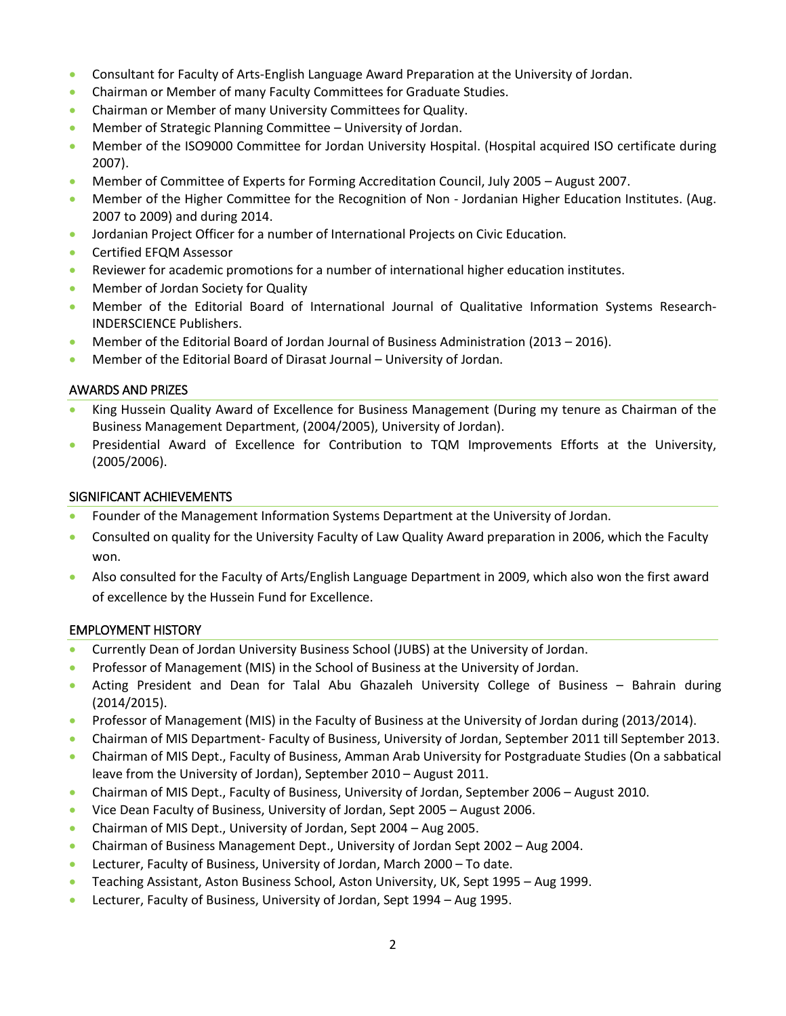- Consultant for Faculty of Arts-English Language Award Preparation at the University of Jordan.
- Chairman or Member of many Faculty Committees for Graduate Studies.
- Chairman or Member of many University Committees for Quality.
- Member of Strategic Planning Committee University of Jordan.
- Member of the ISO9000 Committee for Jordan University Hospital. (Hospital acquired ISO certificate during 2007).
- Member of Committee of Experts for Forming Accreditation Council, July 2005 August 2007.
- Member of the Higher Committee for the Recognition of Non Jordanian Higher Education Institutes. (Aug. 2007 to 2009) and during 2014.
- Jordanian Project Officer for a number of International Projects on Civic Education.
- **Certified EFQM Assessor**
- Reviewer for academic promotions for a number of international higher education institutes.
- Member of Jordan Society for Quality
- Member of the Editorial Board of International Journal of Qualitative Information Systems Research-INDERSCIENCE Publishers.
- Member of the Editorial Board of Jordan Journal of Business Administration (2013 2016).
- Member of the Editorial Board of Dirasat Journal University of Jordan.

#### AWARDS AND PRIZES

- King Hussein Quality Award of Excellence for Business Management (During my tenure as Chairman of the Business Management Department, (2004/2005), University of Jordan).
- Presidential Award of Excellence for Contribution to TQM Improvements Efforts at the University, (2005/2006).

#### SIGNIFICANT ACHIEVEMENTS

- Founder of the Management Information Systems Department at the University of Jordan.
- Consulted on quality for the University Faculty of Law Quality Award preparation in 2006, which the Faculty won.
- Also consulted for the Faculty of Arts/English Language Department in 2009, which also won the first award of excellence by the Hussein Fund for Excellence.

#### EMPLOYMENT HISTORY

- Currently Dean of Jordan University Business School (JUBS) at the University of Jordan.
- Professor of Management (MIS) in the School of Business at the University of Jordan.
- Acting President and Dean for Talal Abu Ghazaleh University College of Business Bahrain during (2014/2015).
- Professor of Management (MIS) in the Faculty of Business at the University of Jordan during (2013/2014).
- Chairman of MIS Department- Faculty of Business, University of Jordan, September 2011 till September 2013.
- Chairman of MIS Dept., Faculty of Business, Amman Arab University for Postgraduate Studies (On a sabbatical leave from the University of Jordan), September 2010 – August 2011.
- Chairman of MIS Dept., Faculty of Business, University of Jordan, September 2006 August 2010.
- Vice Dean Faculty of Business, University of Jordan, Sept 2005 August 2006.
- Chairman of MIS Dept., University of Jordan, Sept 2004 Aug 2005.
- Chairman of Business Management Dept., University of Jordan Sept 2002 Aug 2004.
- Lecturer, Faculty of Business, University of Jordan, March 2000 To date.
- Teaching Assistant, Aston Business School, Aston University, UK, Sept 1995 Aug 1999.
- Lecturer, Faculty of Business, University of Jordan, Sept 1994 Aug 1995.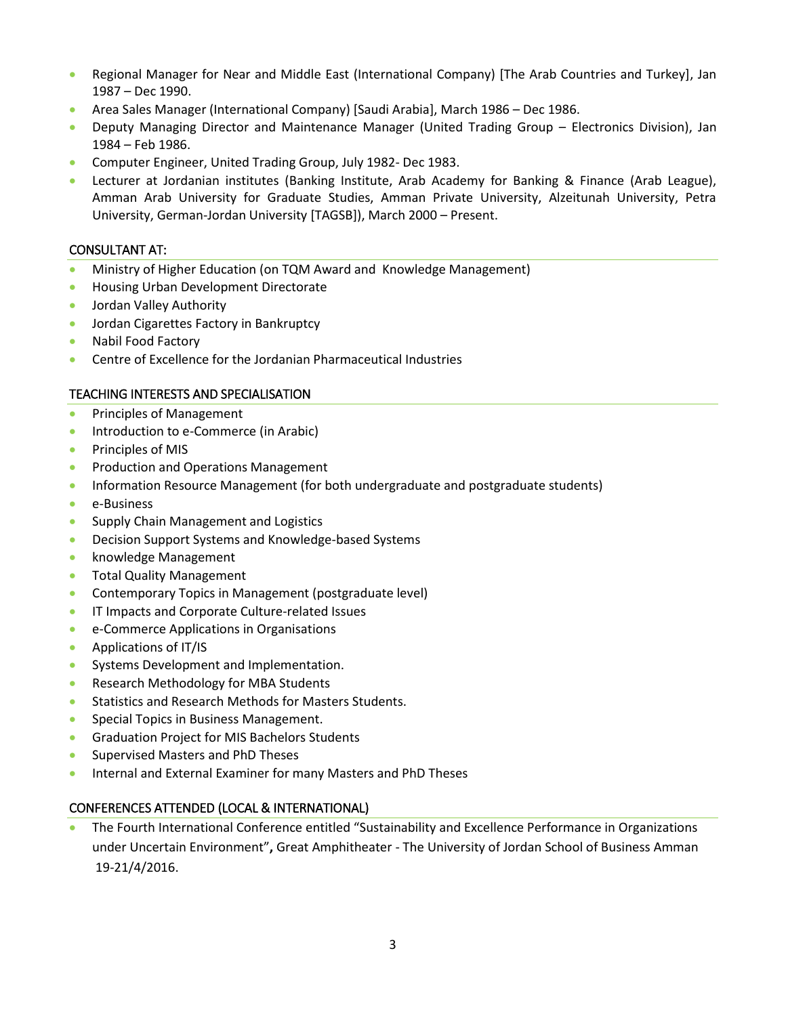- Regional Manager for Near and Middle East (International Company) [The Arab Countries and Turkey], Jan 1987 – Dec 1990.
- Area Sales Manager (International Company) [Saudi Arabia], March 1986 Dec 1986.
- Deputy Managing Director and Maintenance Manager (United Trading Group Electronics Division), Jan 1984 – Feb 1986.
- Computer Engineer, United Trading Group, July 1982- Dec 1983.
- Lecturer at Jordanian institutes (Banking Institute, Arab Academy for Banking & Finance (Arab League), Amman Arab University for Graduate Studies, Amman Private University, Alzeitunah University, Petra University, German-Jordan University [TAGSB]), March 2000 – Present.

#### CONSULTANT AT:

- Ministry of Higher Education (on TQM Award and Knowledge Management)
- Housing Urban Development Directorate
- Jordan Valley Authority
- Jordan Cigarettes Factory in Bankruptcy
- Nabil Food Factory
- Centre of Excellence for the Jordanian Pharmaceutical Industries

#### TEACHING INTERESTS AND SPECIALISATION

- Principles of Management
- Introduction to e-Commerce (in Arabic)
- Principles of MIS
- Production and Operations Management
- Information Resource Management (for both undergraduate and postgraduate students)
- e-Business
- Supply Chain Management and Logistics
- Decision Support Systems and Knowledge-based Systems
- knowledge Management
- Total Quality Management
- Contemporary Topics in Management (postgraduate level)
- IT Impacts and Corporate Culture-related Issues
- e-Commerce Applications in Organisations
- Applications of IT/IS
- Systems Development and Implementation.
- Research Methodology for MBA Students
- Statistics and Research Methods for Masters Students.
- Special Topics in Business Management.
- Graduation Project for MIS Bachelors Students
- Supervised Masters and PhD Theses
- Internal and External Examiner for many Masters and PhD Theses

# CONFERENCES ATTENDED (LOCAL & INTERNATIONAL)

 The Fourth International Conference entitled "Sustainability and Excellence Performance in Organizations under Uncertain Environment"**,** Great Amphitheater - The University of Jordan School of Business Amman 19-21/4/2016.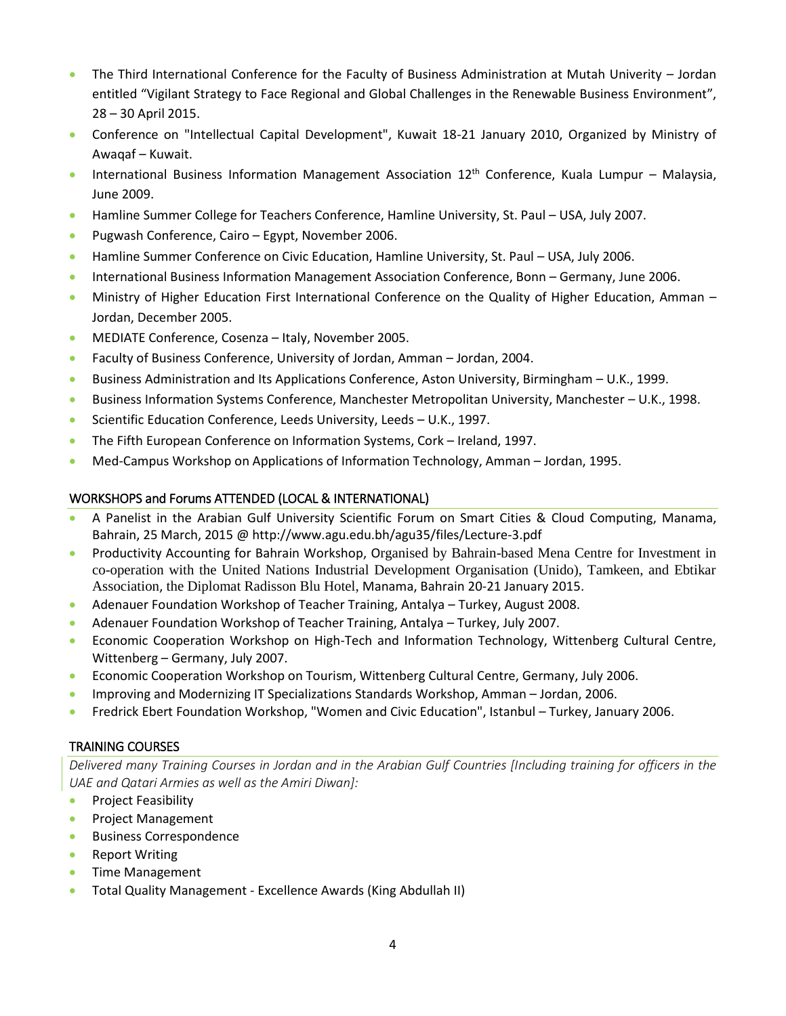- The Third International Conference for the Faculty of Business Administration at Mutah Univerity Jordan entitled "Vigilant Strategy to Face Regional and Global Challenges in the Renewable Business Environment", 28 – 30 April 2015.
- Conference on "Intellectual Capital Development", Kuwait 18-21 January 2010, Organized by Ministry of Awaqaf – Kuwait.
- International Business Information Management Association  $12<sup>th</sup>$  Conference, Kuala Lumpur Malaysia, June 2009.
- Hamline Summer College for Teachers Conference, Hamline University, St. Paul USA, July 2007.
- Pugwash Conference, Cairo Egypt, November 2006.
- Hamline Summer Conference on Civic Education, Hamline University, St. Paul USA, July 2006.
- International Business Information Management Association Conference, Bonn Germany, June 2006.
- Ministry of Higher Education First International Conference on the Quality of Higher Education, Amman Jordan, December 2005.
- MEDIATE Conference, Cosenza Italy, November 2005.
- Faculty of Business Conference, University of Jordan, Amman Jordan, 2004.
- Business Administration and Its Applications Conference, Aston University, Birmingham U.K., 1999.
- **Business Information Systems Conference, Manchester Metropolitan University, Manchester U.K., 1998.**
- Scientific Education Conference, Leeds University, Leeds U.K., 1997.
- The Fifth European Conference on Information Systems, Cork Ireland, 1997.
- Med-Campus Workshop on Applications of Information Technology, Amman Jordan, 1995.

# WORKSHOPS and Forums ATTENDED (LOCAL & INTERNATIONAL)

- A Panelist in the Arabian Gulf University Scientific Forum on Smart Cities & Cloud Computing, Manama, Bahrain, 25 March, 2015 @ http://www.agu.edu.bh/agu35/files/Lecture-3.pdf
- Productivity Accounting for Bahrain Workshop, Organised by Bahrain-based Mena Centre for Investment in co-operation with the United Nations Industrial Development Organisation (Unido), Tamkeen, and Ebtikar Association, the Diplomat Radisson Blu Hotel, Manama, Bahrain 20-21 January 2015.
- Adenauer Foundation Workshop of Teacher Training, Antalya Turkey, August 2008.
- Adenauer Foundation Workshop of Teacher Training, Antalya Turkey, July 2007.
- Economic Cooperation Workshop on High-Tech and Information Technology, Wittenberg Cultural Centre, Wittenberg – Germany, July 2007.
- Economic Cooperation Workshop on Tourism, Wittenberg Cultural Centre, Germany, July 2006.
- Improving and Modernizing IT Specializations Standards Workshop, Amman Jordan, 2006.
- Fredrick Ebert Foundation Workshop, "Women and Civic Education", Istanbul Turkey, January 2006.

# TRAINING COURSES

*Delivered many Training Courses in Jordan and in the Arabian Gulf Countries [Including training for officers in the UAE and Qatari Armies as well as the Amiri Diwan]:*

- Project Feasibility
- Project Management
- Business Correspondence
- Report Writing
- Time Management
- Total Quality Management Excellence Awards (King Abdullah II)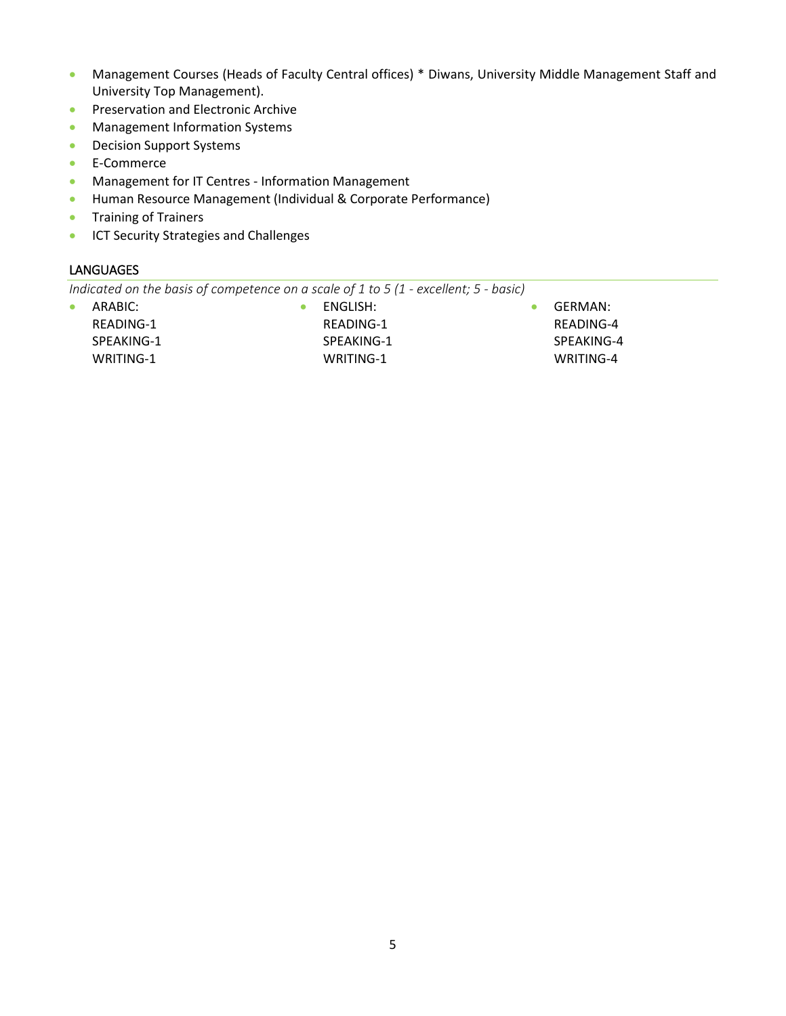- Management Courses (Heads of Faculty Central offices) \* Diwans, University Middle Management Staff and University Top Management).
- **•** Preservation and Electronic Archive
- **•** Management Information Systems
- **•** Decision Support Systems
- **E-Commerce**
- **Management for IT Centres Information Management**
- Human Resource Management (Individual & Corporate Performance)
- **•** Training of Trainers
- **ICT Security Strategies and Challenges**

# **LANGUAGES**

*Indicated on the basis of competence on a scale of 1 to 5 (1 - excellent; 5 - basic)*

| ARABIC:    |
|------------|
| READING-1  |
| SPEAKING-1 |
| WRITING-1  |

 ENGLISH: READING-1 SPEAKING-1

WRITING-1

 GERMAN: READING-4 SPEAKING-4 WRITING-4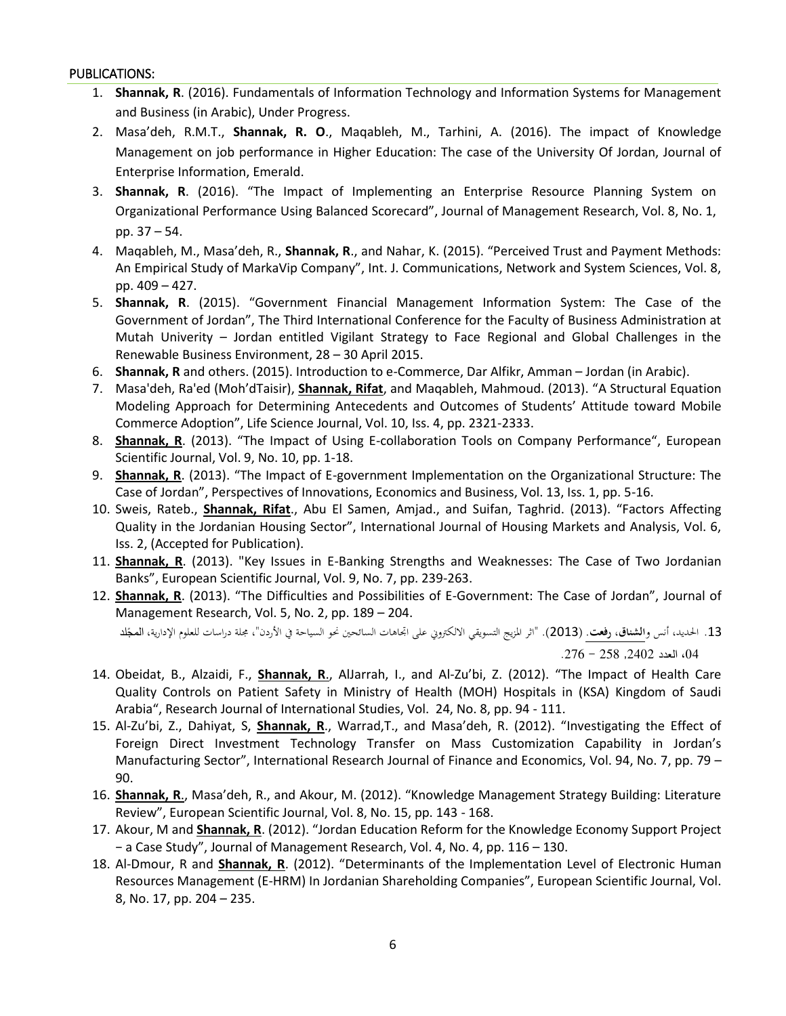#### PUBLICATIONS:

- 1. **Shannak, R**. (2016). Fundamentals of Information Technology and Information Systems for Management and Business (in Arabic), Under Progress.
- 2. Masa'deh, R.M.T., **Shannak, R. O**., Maqableh, M., Tarhini, A. (2016). The impact of Knowledge Management on job performance in Higher Education: The case of the University Of Jordan, Journal of Enterprise Information, Emerald.
- 3. **Shannak, R**. (2016). "The Impact of Implementing an Enterprise Resource Planning System on Organizational Performance Using Balanced Scorecard", Journal of Management Research, Vol. 8, No. 1, pp. 37 – 54.
- 4. Maqableh, M., Masa'deh, R., **Shannak, R**., and Nahar, K. (2015). "Perceived Trust and Payment Methods: An Empirical Study of MarkaVip Company", Int. J. Communications, Network and System Sciences, Vol. 8, pp. 409 – 427.
- 5. **Shannak, R**. (2015). "Government Financial Management Information System: The Case of the Government of Jordan", The Third International Conference for the Faculty of Business Administration at Mutah Univerity – Jordan entitled Vigilant Strategy to Face Regional and Global Challenges in the Renewable Business Environment, 28 – 30 April 2015.
- 6. **Shannak, R** and others. (2015). Introduction to e-Commerce, Dar Alfikr, Amman Jordan (in Arabic).
- 7. Masa'deh, Ra'ed (Moh'dTaisir), **Shannak, Rifat**, and Maqableh, Mahmoud. (2013). "A Structural Equation Modeling Approach for Determining Antecedents and Outcomes of Students' Attitude toward Mobile Commerce Adoption", Life Science Journal, Vol. 10, Iss. 4, pp. 2321-2333.
- 8. **Shannak, R**. (2013). "The Impact of Using E-collaboration Tools on Company Performance", European Scientific Journal, Vol. 9, No. 10, pp. 1-18.
- 9. **Shannak, R**. (2013). "The Impact of E-government Implementation on the Organizational Structure: The Case of Jordan", Perspectives of Innovations, Economics and Business, Vol. 13, Iss. 1, pp. 5-16.
- 10. Sweis, Rateb., **Shannak, Rifat**., Abu El Samen, Amjad., and Suifan, Taghrid. (2013). "Factors Affecting Quality in the Jordanian Housing Sector", International Journal of Housing Markets and Analysis, Vol. 6, Iss. 2, (Accepted for Publication).
- 11. **Shannak, R**. (2013). "Key Issues in E-Banking Strengths and Weaknesses: The Case of Two Jordanian Banks", European Scientific Journal, Vol. 9, No. 7, pp. 239-263.
- 12. **Shannak, R**. (2013). "The Difficulties and Possibilities of E-Government: The Case of Jordan", Journal of Management Research, Vol. 5, No. 2, pp. 189 – 204.

13. الحديد، أنس و<u>الشناق، **رفعت**.</u> (2013). "اثر المزيج التسويقي الالكتروني على اتجاهات السائحين نحو السياحة في الأردن"، مجلة دراسات للعلوم الإدارية، **الم**جّلد ،04 العدد ,2402 258 - .276

- 14. Obeidat, B., Alzaidi, F., **Shannak, R**., AlJarrah, I., and Al-Zu'bi, Z. (2012). "The Impact of Health Care Quality Controls on Patient Safety in Ministry of Health (MOH) Hospitals in (KSA) Kingdom of Saudi Arabia", Research Journal of International Studies, Vol. 24, No. 8, pp. 94 - 111.
- 15. Al-Zu'bi, Z., Dahiyat, S, **Shannak, R**., Warrad,T., and Masa'deh, R. (2012). "Investigating the Effect of Foreign Direct Investment Technology Transfer on Mass Customization Capability in Jordan's Manufacturing Sector", International Research Journal of Finance and Economics, Vol. 94, No. 7, pp. 79 – 90.
- 16. **Shannak, R**., Masa'deh, R., and Akour, M. (2012). "Knowledge Management Strategy Building: Literature Review", European Scientific Journal, Vol. 8, No. 15, pp. 143 - 168.
- 17. Akour, M and **Shannak, R**. (2012). "Jordan Education Reform for the Knowledge Economy Support Project − a Case Study", Journal of Management Research, Vol. 4, No. 4, pp. 116 – 130.
- 18. Al-Dmour, R and **Shannak, R**. (2012). "Determinants of the Implementation Level of Electronic Human Resources Management (E-HRM) In Jordanian Shareholding Companies", European Scientific Journal, Vol. 8, No. 17, pp. 204 – 235.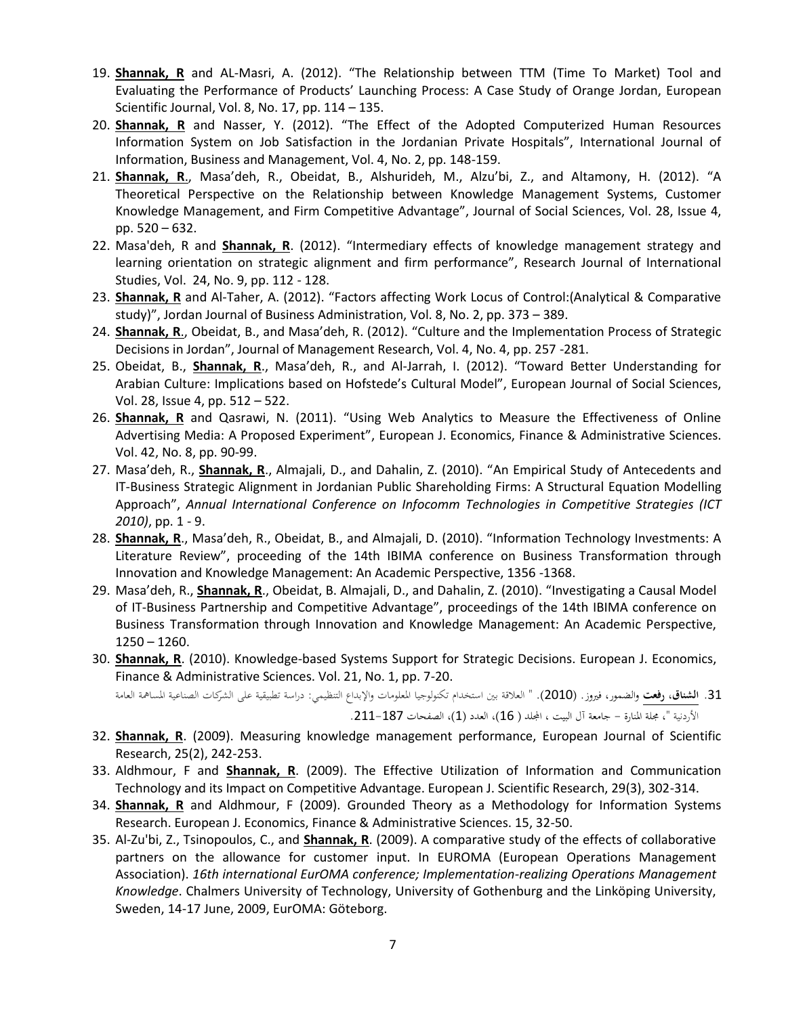- 19. **Shannak, R** and AL-Masri, A. (2012). "The Relationship between TTM (Time To Market) Tool and Evaluating the Performance of Products' Launching Process: A Case Study of Orange Jordan, European Scientific Journal, Vol. 8, No. 17, pp. 114 – 135.
- 20. **Shannak, R** and Nasser, Y. (2012). "The Effect of the Adopted Computerized Human Resources Information System on Job Satisfaction in the Jordanian Private Hospitals", International Journal of Information, Business and Management, Vol. 4, No. 2, pp. 148-159.
- 21. **Shannak, R**., Masa'deh, R., Obeidat, B., Alshurideh, M., Alzu'bi, Z., and Altamony, H. (2012). "A Theoretical Perspective on the Relationship between Knowledge Management Systems, Customer Knowledge Management, and Firm Competitive Advantage", Journal of Social Sciences, Vol. 28, Issue 4, pp. 520 – 632.
- 22. Masa'deh, R and **Shannak, R**. (2012). "Intermediary effects of knowledge management strategy and learning orientation on strategic alignment and firm performance", Research Journal of International Studies, Vol. 24, No. 9, pp. 112 - 128.
- 23. **Shannak, R** and Al-Taher, A. (2012). "Factors affecting Work Locus of Control:(Analytical & Comparative study)", Jordan Journal of Business Administration, Vol. 8, No. 2, pp. 373 – 389.
- 24. **Shannak, R**., Obeidat, B., and Masa'deh, R. (2012). "Culture and the Implementation Process of Strategic Decisions in Jordan", Journal of Management Research, Vol. 4, No. 4, pp. 257 -281.
- 25. Obeidat, B., **Shannak, R**., Masa'deh, R., and Al-Jarrah, I. (2012). "Toward Better Understanding for Arabian Culture: Implications based on Hofstede's Cultural Model", European Journal of Social Sciences, Vol. 28, Issue 4, pp. 512 – 522.
- 26. **Shannak, R** and Qasrawi, N. (2011). "Using Web Analytics to Measure the Effectiveness of Online Advertising Media: A Proposed Experiment", European J. Economics, Finance & Administrative Sciences. Vol. 42, No. 8, pp. 90-99.
- 27. Masa'deh, R., **Shannak, R**., Almajali, D., and Dahalin, Z. (2010). "An Empirical Study of Antecedents and IT-Business Strategic Alignment in Jordanian Public Shareholding Firms: A Structural Equation Modelling Approach", *Annual International Conference on Infocomm Technologies in Competitive Strategies (ICT 2010)*, pp. 1 - 9.
- 28. **Shannak, R**., Masa'deh, R., Obeidat, B., and Almajali, D. (2010). "Information Technology Investments: A Literature Review", proceeding of the 14th IBIMA conference on Business Transformation through Innovation and Knowledge Management: An Academic Perspective, 1356 -1368.
- 29. Masa'deh, R., **Shannak, R**., Obeidat, B. Almajali, D., and Dahalin, Z. (2010). "Investigating a Causal Model of IT-Business Partnership and Competitive Advantage", proceedings of the 14th IBIMA conference on Business Transformation through Innovation and Knowledge Management: An Academic Perspective, 1250 – 1260.
- 30. **Shannak, R**. (2010). Knowledge-based Systems Support for Strategic Decisions. European J. Economics, Finance & Administrative Sciences. Vol. 21, No. 1, pp. 7-20.

.31 **الشناق، رفعت** والضمور، فريوز. )2010(. " العالقة بني استخدام تكنولوجيا املعلومات واإلبداع التنظيمي: دراسة تطبيقية على الشركات الصناعية املسامهة العامة الأردنية "، مجلة المنارة – جامعة آل البيت ، المجلد ( 16)، العدد (1)، الصفحات 187–211.

- 32. **Shannak, R**. (2009). Measuring knowledge management performance, European Journal of Scientific Research, 25(2), 242-253.
- 33. Aldhmour, F and **Shannak, R**. (2009). The Effective Utilization of Information and Communication Technology and its Impact on Competitive Advantage. European J. Scientific Research, 29(3), 302-314.
- 34. **Shannak, R** and Aldhmour, F (2009). Grounded Theory as a Methodology for Information Systems Research. European J. Economics, Finance & Administrative Sciences. 15, 32-50.
- 35. Al-Zu'bi, Z., Tsinopoulos, C., and **Shannak, R**. (2009). A comparative study of the effects of collaborative partners on the allowance for customer input. In EUROMA (European Operations Management Association). *16th international EurOMA conference; Implementation-realizing Operations Management Knowledge*. Chalmers University of Technology, University of Gothenburg and the Linköping University, Sweden, 14-17 June, 2009, EurOMA: Göteborg.